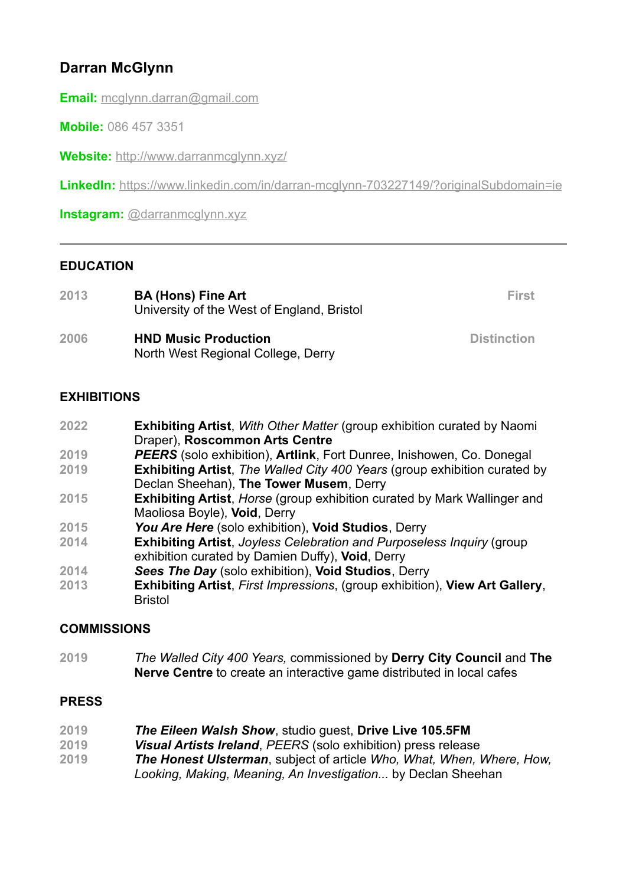# **Darran McGlynn**

**Email:** [mcglynn.darran@gmail.com](mailto:mcglynn.darran@gmail.com)

**Mobile:** 086 457 3351

**Website:** <http://www.darranmcglynn.xyz/>

**LinkedIn:** <https://www.linkedin.com/in/darran-mcglynn-703227149/?originalSubdomain=ie>

**Instagram:** [@darranmcglynn.xyz](https://www.instagram.com/darranmcglynn.xyz/)

#### **EDUCATION**

| 2013 | <b>BA (Hons) Fine Art</b><br>University of the West of England, Bristol | First              |
|------|-------------------------------------------------------------------------|--------------------|
| 2006 | <b>HND Music Production</b><br>North West Regional College, Derry       | <b>Distinction</b> |

## **EXHIBITIONS**

| 2022 | <b>Exhibiting Artist, With Other Matter (group exhibition curated by Naomi</b> |
|------|--------------------------------------------------------------------------------|
|      | Draper), Roscommon Arts Centre                                                 |

- **2019** *PEERS* (solo exhibition), **Artlink**, Fort Dunree, Inishowen, Co. Donegal
- **2019 Exhibiting Artist**, *The Walled City 400 Years* (group exhibition curated by Declan Sheehan), **The Tower Musem**, Derry
- **2015 Exhibiting Artist**, *Horse* (group exhibition curated by Mark Wallinger and Maoliosa Boyle), **Void**, Derry
- **2015** *You Are Here* (solo exhibition), **Void Studios**, Derry
- **2014 Exhibiting Artist**, *Joyless Celebration and Purposeless Inquiry* (group exhibition curated by Damien Duffy), **Void**, Derry
- **2014** *Sees The Day* (solo exhibition), **Void Studios**, Derry
- **2013 Exhibiting Artist**, *First Impressions*, (group exhibition), **View Art Gallery**, Bristol

## **COMMISSIONS**

**2019** *The Walled City 400 Years,* commissioned by **Derry City Council** and **The Nerve Centre** to create an interactive game distributed in local cafes

## **PRESS**

- **2019** *The Eileen Walsh Show*, studio guest, **Drive Live 105.5FM**
- **2019** *Visual Artists Ireland*, *PEERS* (solo exhibition) press release
- **2019** *The Honest Ulsterman*, subject of article *Who, What, When, Where, How, Looking, Making, Meaning, An Investigation...* by Declan Sheehan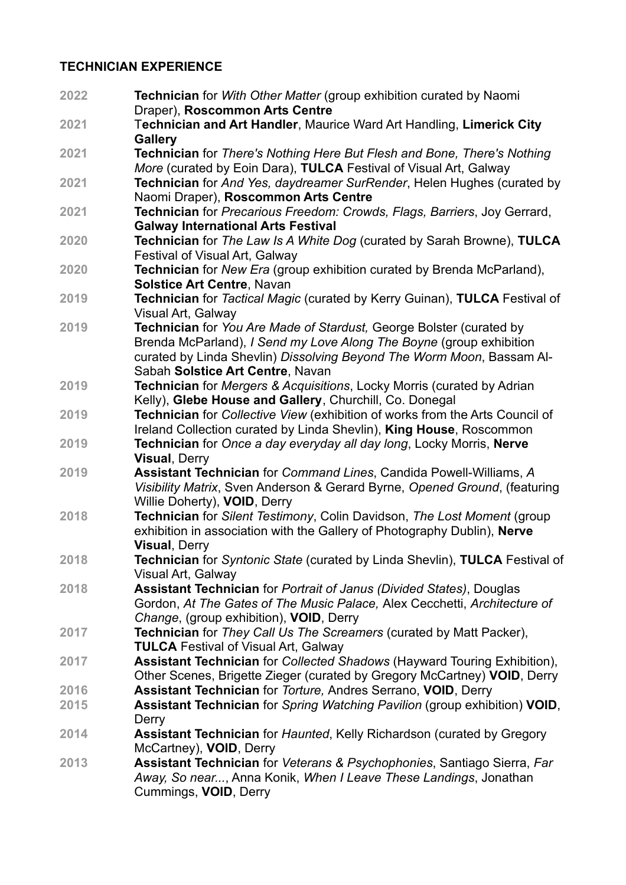#### **TECHNICIAN EXPERIENCE**

**2022 Technician** for *With Other Matter* (group exhibition curated by Naomi Draper), **Roscommon Arts Centre 2021** T**echnician and Art Handler**, Maurice Ward Art Handling, **Limerick City Gallery 2021 Technician** for *There's Nothing Here But Flesh and Bone, There's Nothing More* (curated by Eoin Dara), **TULCA** Festival of Visual Art, Galway **2021 Technician** for *And Yes, daydreamer SurRender*, Helen Hughes (curated by Naomi Draper), **Roscommon Arts Centre 2021 Technician** for *Precarious Freedom: Crowds, Flags, Barriers*, Joy Gerrard, **Galway International Arts Festival 2020 Technician** for *The Law Is A White Dog* (curated by Sarah Browne), **TULCA** Festival of Visual Art, Galway **2020 Technician** for *New Era* (group exhibition curated by Brenda McParland), **Solstice Art Centre**, Navan **2019 Technician** for *Tactical Magic* (curated by Kerry Guinan), **TULCA** Festival of Visual Art, Galway **2019 Technician** for *You Are Made of Stardust,* George Bolster (curated by Brenda McParland), *I Send my Love Along The Boyne* (group exhibition curated by Linda Shevlin) *Dissolving Beyond The Worm Moon*, Bassam Al-Sabah **Solstice Art Centre**, Navan **2019 Technician** for *Mergers & Acquisitions*, Locky Morris (curated by Adrian Kelly), **Glebe House and Gallery**, Churchill, Co. Donegal **2019 Technician** for *Collective View* (exhibition of works from the Arts Council of Ireland Collection curated by Linda Shevlin), **King House**, Roscommon **2019 Technician** for *Once a day everyday all day long*, Locky Morris, **Nerve Visual**, Derry **2019 Assistant Technician** for *Command Lines*, Candida Powell-Williams, *A Visibility Matrix*, Sven Anderson & Gerard Byrne, *Opened Ground*, (featuring Willie Doherty), **VOID**, Derry **2018 Technician** for *Silent Testimony*, Colin Davidson, *The Lost Moment* (group exhibition in association with the Gallery of Photography Dublin), **Nerve Visual**, Derry **2018 Technician** for *Syntonic State* (curated by Linda Shevlin), **TULCA** Festival of Visual Art, Galway **2018 Assistant Technician** for *Portrait of Janus (Divided States)*, Douglas Gordon, *At The Gates of The Music Palace,* Alex Cecchetti, *Architecture of Change*, (group exhibition), **VOID**, Derry **2017 Technician** for *They Call Us The Screamers* (curated by Matt Packer), **TULCA** Festival of Visual Art, Galway **2017 Assistant Technician** for *Collected Shadows* (Hayward Touring Exhibition), Other Scenes, Brigette Zieger (curated by Gregory McCartney) **VOID**, Derry **2016 Assistant Technician** for *Torture,* Andres Serrano, **VOID**, Derry **2015 Assistant Technician** for *Spring Watching Pavilion* (group exhibition) **VOID**, **Derry 2014 Assistant Technician** for *Haunted*, Kelly Richardson (curated by Gregory McCartney), **VOID**, Derry **2013 Assistant Technician** for *Veterans & Psychophonies*, Santiago Sierra, *Far Away, So near...*, Anna Konik, *When I Leave These Landings*, Jonathan Cummings, **VOID**, Derry